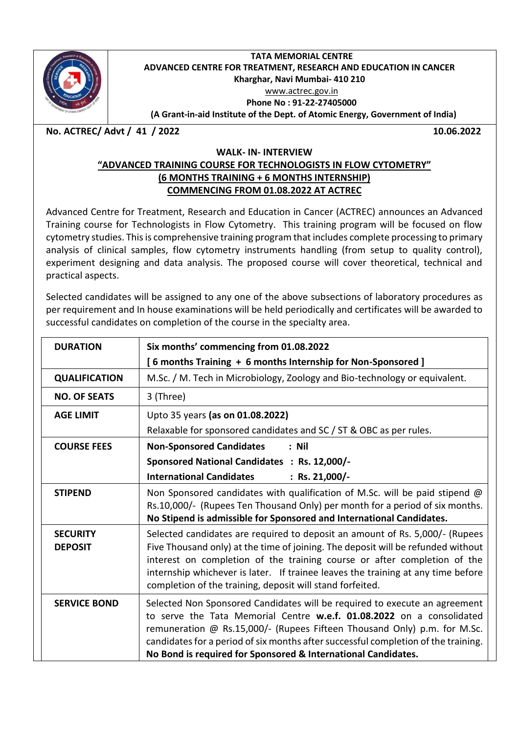

#### **TATA MEMORIAL CENTRE ADVANCED CENTRE FOR TREATMENT, RESEARCH AND EDUCATION IN CANCER Kharghar, Navi Mumbai- 410 210** [www.actrec.gov.in](http://www.actrec.gov.in/) **Phone No : 91-22-27405000**

**(A Grant-in-aid Institute of the Dept. of Atomic Energy, Government of India)**

**No. ACTREC/ Advt / 41 / 2022 10.06.2022**

## **WALK- IN- INTERVIEW**

## **"ADVANCED TRAINING COURSE FOR TECHNOLOGISTS IN FLOW CYTOMETRY" (6 MONTHS TRAINING + 6 MONTHS INTERNSHIP) COMMENCING FROM 01.08.2022 AT ACTREC**

Advanced Centre for Treatment, Research and Education in Cancer (ACTREC) announces an Advanced Training course for Technologists in Flow Cytometry. This training program will be focused on flow cytometry studies. This is comprehensive training program that includes complete processing to primary analysis of clinical samples, flow cytometry instruments handling (from setup to quality control), experiment designing and data analysis. The proposed course will cover theoretical, technical and practical aspects.

Selected candidates will be assigned to any one of the above subsections of laboratory procedures as per requirement and In house examinations will be held periodically and certificates will be awarded to successful candidates on completion of the course in the specialty area.

| <b>DURATION</b>                   | Six months' commencing from 01.08.2022                                                                                                                                                                                                                                                                                                                                                        |
|-----------------------------------|-----------------------------------------------------------------------------------------------------------------------------------------------------------------------------------------------------------------------------------------------------------------------------------------------------------------------------------------------------------------------------------------------|
|                                   | [6 months Training + 6 months Internship for Non-Sponsored]                                                                                                                                                                                                                                                                                                                                   |
| <b>QUALIFICATION</b>              | M.Sc. / M. Tech in Microbiology, Zoology and Bio-technology or equivalent.                                                                                                                                                                                                                                                                                                                    |
| <b>NO. OF SEATS</b>               | 3 (Three)                                                                                                                                                                                                                                                                                                                                                                                     |
| <b>AGE LIMIT</b>                  | Upto 35 years (as on 01.08.2022)                                                                                                                                                                                                                                                                                                                                                              |
|                                   | Relaxable for sponsored candidates and SC / ST & OBC as per rules.                                                                                                                                                                                                                                                                                                                            |
| <b>COURSE FEES</b>                | <b>Non-Sponsored Candidates</b><br>: Nil                                                                                                                                                                                                                                                                                                                                                      |
|                                   | Sponsored National Candidates : Rs. 12,000/-                                                                                                                                                                                                                                                                                                                                                  |
|                                   | <b>International Candidates</b><br>: Rs. 21,000/-                                                                                                                                                                                                                                                                                                                                             |
| <b>STIPEND</b>                    | Non Sponsored candidates with qualification of M.Sc. will be paid stipend @<br>Rs.10,000/- (Rupees Ten Thousand Only) per month for a period of six months.<br>No Stipend is admissible for Sponsored and International Candidates.                                                                                                                                                           |
| <b>SECURITY</b><br><b>DEPOSIT</b> | Selected candidates are required to deposit an amount of Rs. 5,000/- (Rupees<br>Five Thousand only) at the time of joining. The deposit will be refunded without<br>interest on completion of the training course or after completion of the<br>internship whichever is later. If trainee leaves the training at any time before<br>completion of the training, deposit will stand forfeited. |
| <b>SERVICE BOND</b>               | Selected Non Sponsored Candidates will be required to execute an agreement<br>to serve the Tata Memorial Centre w.e.f. 01.08.2022 on a consolidated<br>remuneration @ Rs.15,000/- (Rupees Fifteen Thousand Only) p.m. for M.Sc.<br>candidates for a period of six months after successful completion of the training.<br>No Bond is required for Sponsored & International Candidates.        |